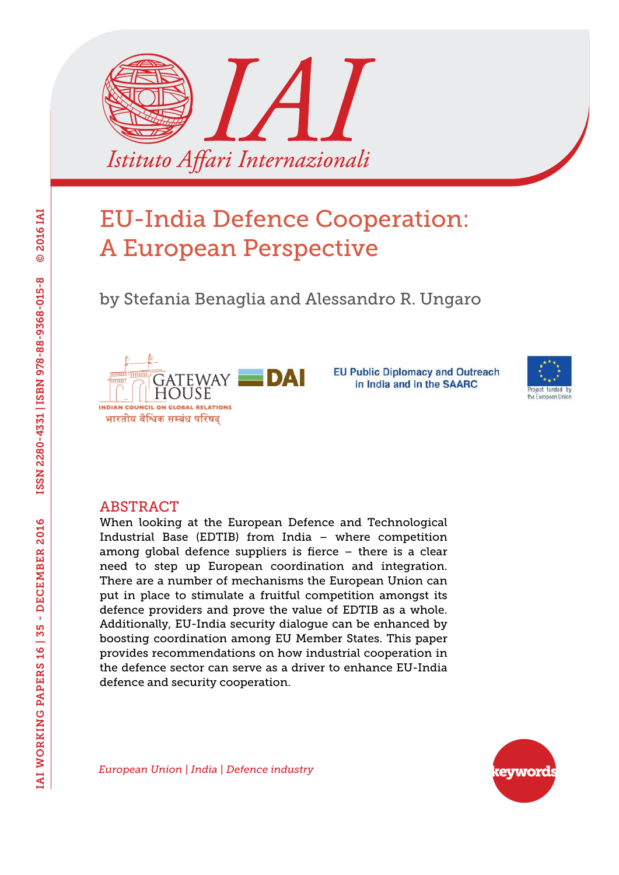

by Stefania Benaglia and Alessandro R. Ungaro



**EU Public Diplomacy and Outreach** in India and in the SAARC



#### ABSTRACT

When looking at the European Defence and Technological Industrial Base (EDTIB) from India – where competition among global defence suppliers is fierce – there is a clear need to step up European coordination and integration. There are a number of mechanisms the European Union can put in place to stimulate a fruitful competition amongst its defence providers and prove the value of EDTIB as a whole. Additionally, EU-India security dialogue can be enhanced by boosting coordination among EU Member States. This paper provides recommendations on how industrial cooperation in the defence sector can serve as a driver to enhance EU-India defence and security cooperation.



*European Union | India | Defence industry*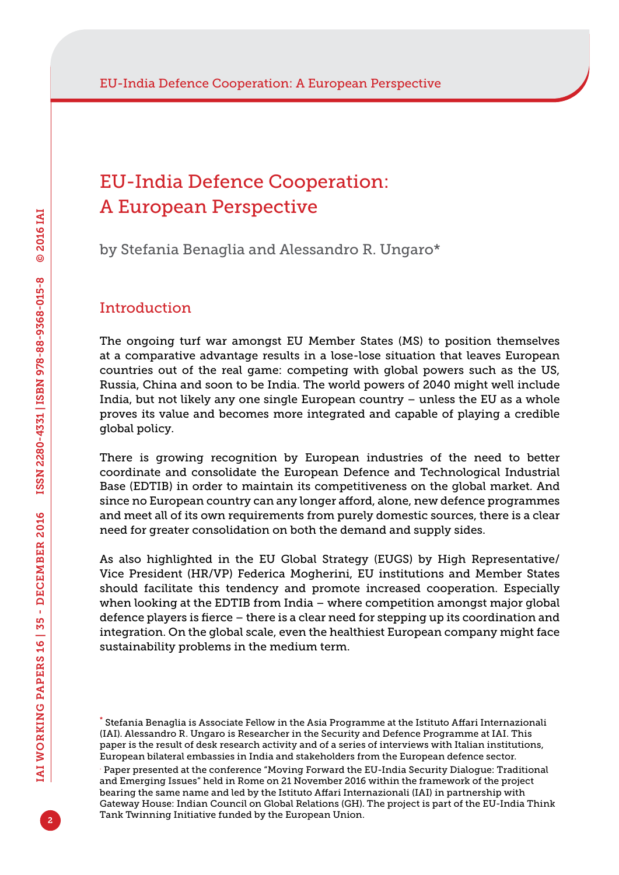by Stefania Benaglia and Alessandro R. Ungaro\*

## Introduction

The ongoing turf war amongst EU Member States (MS) to position themselves at a comparative advantage results in a lose-lose situation that leaves European countries out of the real game: competing with global powers such as the US, Russia, China and soon to be India. The world powers of 2040 might well include India, but not likely any one single European country – unless the EU as a whole proves its value and becomes more integrated and capable of playing a credible global policy.

There is growing recognition by European industries of the need to better coordinate and consolidate the European Defence and Technological Industrial Base (EDTIB) in order to maintain its competitiveness on the global market. And since no European country can any longer afford, alone, new defence programmes and meet all of its own requirements from purely domestic sources, there is a clear need for greater consolidation on both the demand and supply sides.

As also highlighted in the EU Global Strategy (EUGS) by High Representative/ Vice President (HR/VP) Federica Mogherini, EU institutions and Member States should facilitate this tendency and promote increased cooperation. Especially when looking at the EDTIB from India – where competition amongst major global defence players is fierce – there is a clear need for stepping up its coordination and integration. On the global scale, even the healthiest European company might face sustainability problems in the medium term.

<sup>\*</sup> Stefania Benaglia is Associate Fellow in the Asia Programme at the Istituto Affari Internazionali (IAI). Alessandro R. Ungaro is Researcher in the Security and Defence Programme at IAI. This paper is the result of desk research activity and of a series of interviews with Italian institutions, European bilateral embassies in India and stakeholders from the European defence sector.

<sup>.</sup> Paper presented at the conference "Moving Forward the EU-India Security Dialogue: Traditional and Emerging Issues" held in Rome on 21 November 2016 within the framework of the project bearing the same name and led by the Istituto Affari Internazionali (IAI) in partnership with Gateway House: Indian Council on Global Relations (GH). The project is part of the EU-India Think Tank Twinning Initiative funded by the European Union.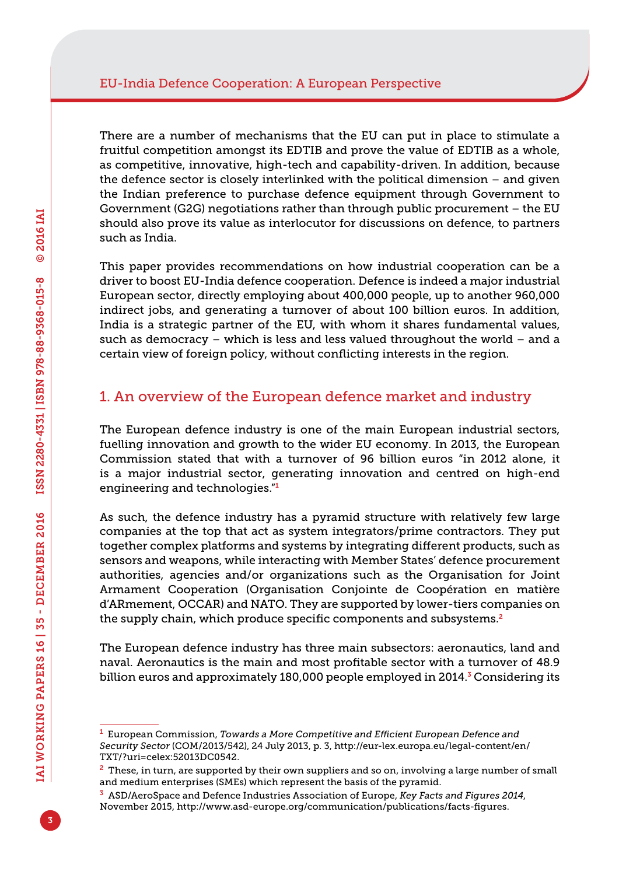There are a number of mechanisms that the EU can put in place to stimulate a fruitful competition amongst its EDTIB and prove the value of EDTIB as a whole, as competitive, innovative, high-tech and capability-driven. In addition, because the defence sector is closely interlinked with the political dimension – and given the Indian preference to purchase defence equipment through Government to Government (G2G) negotiations rather than through public procurement – the EU should also prove its value as interlocutor for discussions on defence, to partners such as India.

This paper provides recommendations on how industrial cooperation can be a driver to boost EU-India defence cooperation. Defence is indeed a major industrial European sector, directly employing about 400,000 people, up to another 960,000 indirect jobs, and generating a turnover of about 100 billion euros. In addition, India is a strategic partner of the EU, with whom it shares fundamental values, such as democracy – which is less and less valued throughout the world – and a certain view of foreign policy, without conflicting interests in the region.

## 1. An overview of the European defence market and industry

The European defence industry is one of the main European industrial sectors, fuelling innovation and growth to the wider EU economy. In 2013, the European Commission stated that with a turnover of 96 billion euros "in 2012 alone, it is a major industrial sector, generating innovation and centred on high-end engineering and technologies."<sup>1</sup>

As such, the defence industry has a pyramid structure with relatively few large companies at the top that act as system integrators/prime contractors. They put together complex platforms and systems by integrating different products, such as sensors and weapons, while interacting with Member States' defence procurement authorities, agencies and/or organizations such as the Organisation for Joint Armament Cooperation (Organisation Conjointe de Coopération en matière d'ARmement, OCCAR) and NATO. They are supported by lower-tiers companies on the supply chain, which produce specific components and subsystems.<sup>2</sup>

The European defence industry has three main subsectors: aeronautics, land and naval. Aeronautics is the main and most profitable sector with a turnover of 48.9 billion euros and approximately 180,000 people employed in 2014. $\frac{3}{7}$  Considering its

<sup>1</sup> European Commission, *Towards a More Competitive and Efficient European Defence and Security Sector* (COM/2013/542), 24 July 2013, p. 3, [http://eur-lex.europa.eu/legal-content/en/](http://eur-lex.europa.eu/legal-content/en/TXT/?uri=celex:52013DC0542) [TXT/?uri=celex:52013DC0542.](http://eur-lex.europa.eu/legal-content/en/TXT/?uri=celex:52013DC0542)

 $2$  These, in turn, are supported by their own suppliers and so on, involving a large number of small and medium enterprises (SMEs) which represent the basis of the pyramid.

<sup>3</sup> ASD/AeroSpace and Defence Industries Association of Europe, *Key Facts and Figures 2014*, November 2015, [http://www.asd-europe.org/communication/publications/facts-figures.](http://www.asd-europe.org/communication/publications/facts-figures)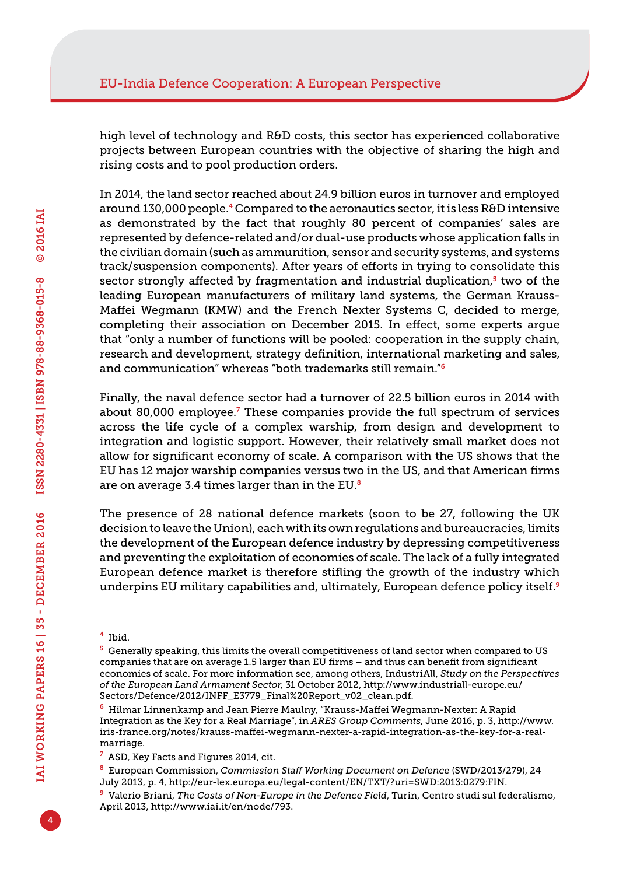high level of technology and R&D costs, this sector has experienced collaborative projects between European countries with the objective of sharing the high and rising costs and to pool production orders.

In 2014, the land sector reached about 24.9 billion euros in turnover and employed around 130,000 people.<sup>4</sup> Compared to the aeronautics sector, it is less R&D intensive as demonstrated by the fact that roughly 80 percent of companies' sales are represented by defence-related and/or dual-use products whose application falls in the civilian domain (such as ammunition, sensor and security systems, and systems track/suspension components). After years of efforts in trying to consolidate this sector strongly affected by fragmentation and industrial duplication, $5$  two of the leading European manufacturers of military land systems, the German Krauss-Maffei Wegmann (KMW) and the French Nexter Systems C, decided to merge, completing their association on December 2015. In effect, some experts argue that "only a number of functions will be pooled: cooperation in the supply chain, research and development, strategy definition, international marketing and sales, and communication" whereas "both trademarks still remain."<sup>6</sup>

Finally, the naval defence sector had a turnover of 22.5 billion euros in 2014 with about 80,000 employee.<sup>7</sup> These companies provide the full spectrum of services across the life cycle of a complex warship, from design and development to integration and logistic support. However, their relatively small market does not allow for significant economy of scale. A comparison with the US shows that the EU has 12 major warship companies versus two in the US, and that American firms are on average 3.4 times larger than in the EU $<sup>8</sup>$ </sup>

The presence of 28 national defence markets (soon to be 27, following the UK decision to leave the Union), each with its own regulations and bureaucracies, limits the development of the European defence industry by depressing competitiveness and preventing the exploitation of economies of scale. The lack of a fully integrated European defence market is therefore stifling the growth of the industry which underpins EU military capabilities and, ultimately, European defence policy itself.<sup>9</sup>

<sup>4</sup> Ibid.

<sup>5</sup> Generally speaking, this limits the overall competitiveness of land sector when compared to US companies that are on average 1.5 larger than EU firms – and thus can benefit from significant economies of scale. For more information see, among others, IndustriAll, *Study on the Perspectives of the European Land Armament Sector*, 31 October 2012, [http://www.industriall-europe.eu/](http://www.industriall-europe.eu/Sectors/Defence/2012/INFF_E3779_Final%20Report_v02_clean.pdf) [Sectors/Defence/2012/INFF\\_E3779\\_Final%20Report\\_v02\\_clean.pdf.](http://www.industriall-europe.eu/Sectors/Defence/2012/INFF_E3779_Final%20Report_v02_clean.pdf)

<sup>6</sup> Hilmar Linnenkamp and Jean Pierre Maulny, "Krauss-Maffei Wegmann-Nexter: A Rapid Integration as the Key for a Real Marriage", in *ARES Group Comments*, June 2016, p. 3, [http://www.](http://www.iris-france.org/notes/krauss-maffei-wegmann-nexter-a-rapid-integration-as-the-key-for-a-real-marriage) [iris-france.org/notes/krauss-maffei-wegmann-nexter-a-rapid-integration-as-the-key-for-a-real](http://www.iris-france.org/notes/krauss-maffei-wegmann-nexter-a-rapid-integration-as-the-key-for-a-real-marriage)[marriage](http://www.iris-france.org/notes/krauss-maffei-wegmann-nexter-a-rapid-integration-as-the-key-for-a-real-marriage).

<sup>7</sup> ASD, Key Facts and Figures 2014, cit.

<sup>8</sup> European Commission, *Commission Staff Working Document on Defence* (SWD/2013/279), 24 July 2013, p. 4, [http://eur-lex.europa.eu/legal-content/EN/TXT/?uri=SWD:2013:0279:FIN.](http://eur-lex.europa.eu/legal-content/EN/TXT/?uri=SWD:2013:0279:FIN)

<sup>9</sup> Valerio Briani, *The Costs of Non-Europe in the Defence Field*, Turin, Centro studi sul federalismo, April 2013, [http://www.iai.it/en/node/793.](http://www.iai.it/en/node/793)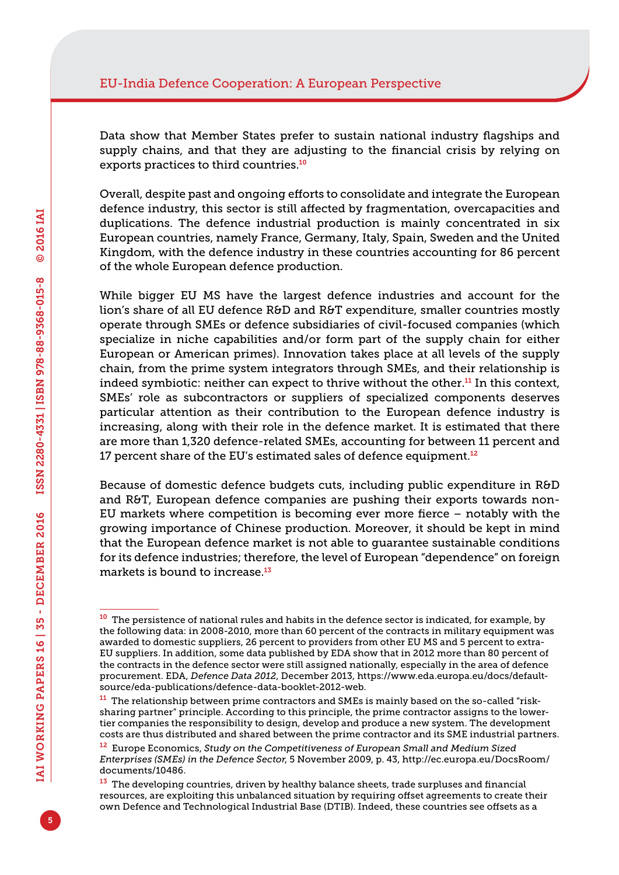Data show that Member States prefer to sustain national industry flagships and supply chains, and that they are adjusting to the financial crisis by relying on exports practices to third countries.<sup>10</sup>

Overall, despite past and ongoing efforts to consolidate and integrate the European defence industry, this sector is still affected by fragmentation, overcapacities and duplications. The defence industrial production is mainly concentrated in six European countries, namely France, Germany, Italy, Spain, Sweden and the United Kingdom, with the defence industry in these countries accounting for 86 percent of the whole European defence production.

While bigger EU MS have the largest defence industries and account for the lion's share of all EU defence R&D and R&T expenditure, smaller countries mostly operate through SMEs or defence subsidiaries of civil-focused companies (which specialize in niche capabilities and/or form part of the supply chain for either European or American primes). Innovation takes place at all levels of the supply chain, from the prime system integrators through SMEs, and their relationship is indeed symbiotic: neither can expect to thrive without the other.11 In this context, SMEs' role as subcontractors or suppliers of specialized components deserves particular attention as their contribution to the European defence industry is increasing, along with their role in the defence market. It is estimated that there are more than 1,320 defence-related SMEs, accounting for between 11 percent and 17 percent share of the EU's estimated sales of defence equipment. $12$ 

Because of domestic defence budgets cuts, including public expenditure in R&D and R&T, European defence companies are pushing their exports towards non-EU markets where competition is becoming ever more fierce – notably with the growing importance of Chinese production. Moreover, it should be kept in mind that the European defence market is not able to guarantee sustainable conditions for its defence industries; therefore, the level of European "dependence" on foreign markets is bound to increase.<sup>13</sup>

<sup>&</sup>lt;sup>10</sup> The persistence of national rules and habits in the defence sector is indicated, for example, by the following data: in 2008-2010, more than 60 percent of the contracts in military equipment was awarded to domestic suppliers, 26 percent to providers from other EU MS and 5 percent to extra-EU suppliers. In addition, some data published by EDA show that in 2012 more than 80 percent of the contracts in the defence sector were still assigned nationally, especially in the area of defence procurement. EDA, *Defence Data 2012*, December 2013, [https://www.eda.europa.eu/docs/default](https://www.eda.europa.eu/docs/default-source/eda-publications/defence-data-booklet-2012-web)[source/eda-publications/defence-data-booklet-2012-web](https://www.eda.europa.eu/docs/default-source/eda-publications/defence-data-booklet-2012-web).

<sup>&</sup>lt;sup>11</sup> The relationship between prime contractors and SMEs is mainly based on the so-called "risksharing partner" principle. According to this principle, the prime contractor assigns to the lowertier companies the responsibility to design, develop and produce a new system. The development costs are thus distributed and shared between the prime contractor and its SME industrial partners.

<sup>12</sup> Europe Economics, *Study on the Competitiveness of European Small and Medium Sized Enterprises (SMEs) in the Defence Sector*, 5 November 2009, p. 43, [http://ec.europa.eu/DocsRoom/](http://ec.europa.eu/DocsRoom/documents/10486) [documents/10486.](http://ec.europa.eu/DocsRoom/documents/10486)

<sup>&</sup>lt;sup>13</sup> The developing countries, driven by healthy balance sheets, trade surpluses and financial resources, are exploiting this unbalanced situation by requiring offset agreements to create their own Defence and Technological Industrial Base (DTIB). Indeed, these countries see offsets as a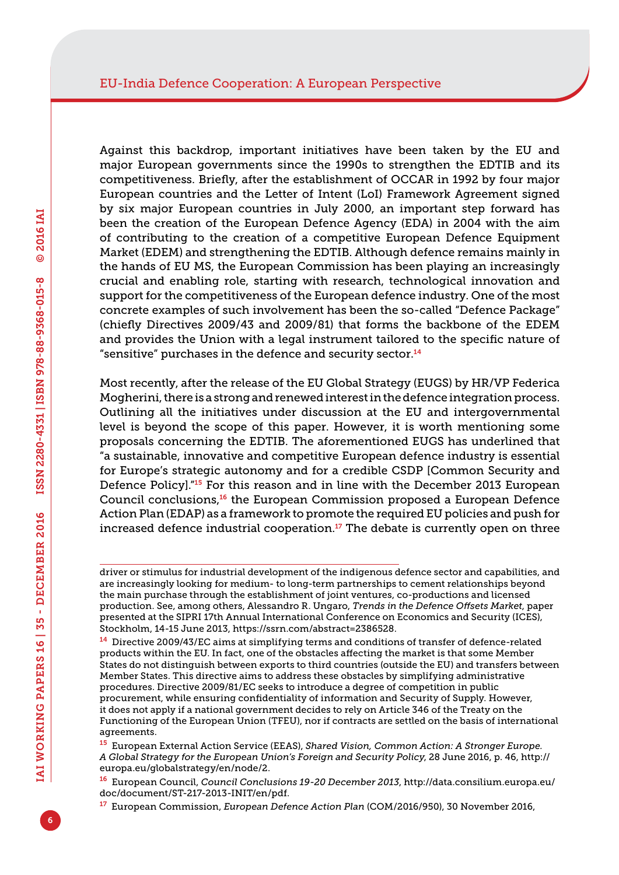Against this backdrop, important initiatives have been taken by the EU and major European governments since the 1990s to strengthen the EDTIB and its competitiveness. Briefly, after the establishment of OCCAR in 1992 by four major European countries and the Letter of Intent (LoI) Framework Agreement signed by six major European countries in July 2000, an important step forward has been the creation of the European Defence Agency (EDA) in 2004 with the aim of contributing to the creation of a competitive European Defence Equipment Market (EDEM) and strengthening the EDTIB. Although defence remains mainly in the hands of EU MS, the European Commission has been playing an increasingly crucial and enabling role, starting with research, technological innovation and support for the competitiveness of the European defence industry. One of the most concrete examples of such involvement has been the so-called "Defence Package" (chiefly Directives 2009/43 and 2009/81) that forms the backbone of the EDEM and provides the Union with a legal instrument tailored to the specific nature of "sensitive" purchases in the defence and security sector.<sup>14</sup>

Most recently, after the release of the EU Global Strategy (EUGS) by HR/VP Federica Mogherini, there is a strong and renewed interest in the defence integration process. Outlining all the initiatives under discussion at the EU and intergovernmental level is beyond the scope of this paper. However, it is worth mentioning some proposals concerning the EDTIB. The aforementioned EUGS has underlined that "a sustainable, innovative and competitive European defence industry is essential for Europe's strategic autonomy and for a credible CSDP [Common Security and Defence Policy]."15 For this reason and in line with the December 2013 European Council conclusions,<sup>16</sup> the European Commission proposed a European Defence Action Plan (EDAP) as a framework to promote the required EU policies and push for increased defence industrial cooperation. $17$  The debate is currently open on three

driver or stimulus for industrial development of the indigenous defence sector and capabilities, and are increasingly looking for medium- to long-term partnerships to cement relationships beyond the main purchase through the establishment of joint ventures, co-productions and licensed production. See, among others, Alessandro R. Ungaro, *Trends in the Defence Offsets Market*, paper presented at the SIPRI 17th Annual International Conference on Economics and Security (ICES), Stockholm, 14-15 June 2013, <https://ssrn.com/abstract=2386528>.

<sup>&</sup>lt;sup>14</sup> Directive 2009/43/EC aims at simplifying terms and conditions of transfer of defence-related products within the EU. In fact, one of the obstacles affecting the market is that some Member States do not distinguish between exports to third countries (outside the EU) and transfers between Member States. This directive aims to address these obstacles by simplifying administrative procedures. Directive 2009/81/EC seeks to introduce a degree of competition in public procurement, while ensuring confidentiality of information and Security of Supply. However, it does not apply if a national government decides to rely on Article 346 of the Treaty on the Functioning of the European Union (TFEU), nor if contracts are settled on the basis of international agreements.

<sup>15</sup> European External Action Service (EEAS), *Shared Vision, Common Action: A Stronger Europe. A Global Strategy for the European Union's Foreign and Security Policy*, 28 June 2016, p. 46, [http://](http://europa.eu/globalstrategy/en/node/2) [europa.eu/globalstrategy/en/node/2.](http://europa.eu/globalstrategy/en/node/2)

<sup>16</sup> European Council, *Council Conclusions 19-20 December 2013*, [http://data.consilium.europa.eu/](http://data.consilium.europa.eu/doc/document/ST-217-2013-INIT/en/pdf) [doc/document/ST-217-2013-INIT/en/pdf](http://data.consilium.europa.eu/doc/document/ST-217-2013-INIT/en/pdf).

<sup>17</sup> European Commission, *European Defence Action Plan* (COM/2016/950), 30 November 2016,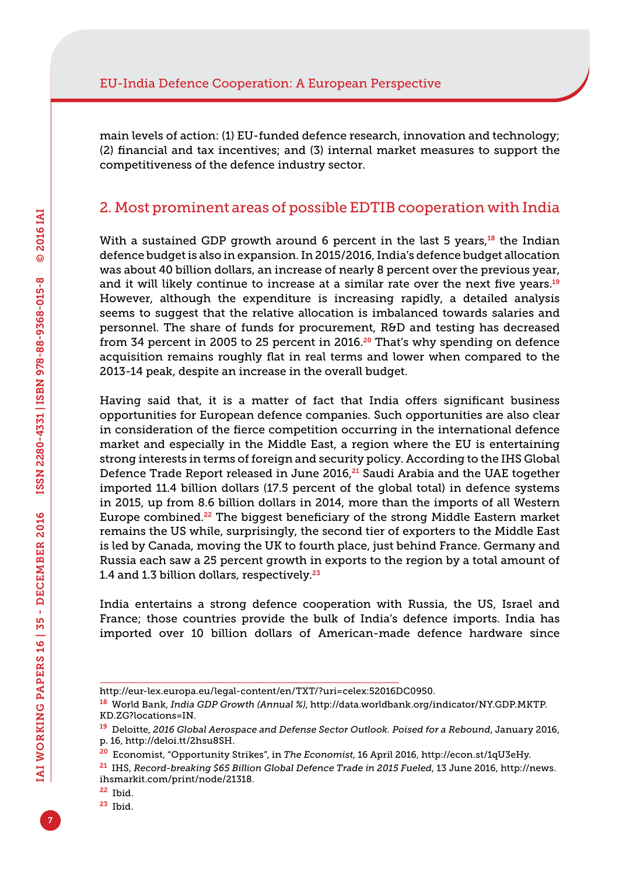main levels of action: (1) EU-funded defence research, innovation and technology; (2) financial and tax incentives; and (3) internal market measures to support the competitiveness of the defence industry sector.

## 2. Most prominent areas of possible EDTIB cooperation with India

With a sustained GDP growth around 6 percent in the last 5 years, $18$  the Indian defence budget is also in expansion. In 2015/2016, India's defence budget allocation was about 40 billion dollars, an increase of nearly 8 percent over the previous year, and it will likely continue to increase at a similar rate over the next five years.<sup>19</sup> However, although the expenditure is increasing rapidly, a detailed analysis seems to suggest that the relative allocation is imbalanced towards salaries and personnel. The share of funds for procurement, R&D and testing has decreased from 34 percent in 2005 to 25 percent in 2016. $20$  That's why spending on defence acquisition remains roughly flat in real terms and lower when compared to the 2013-14 peak, despite an increase in the overall budget.

Having said that, it is a matter of fact that India offers significant business opportunities for European defence companies. Such opportunities are also clear in consideration of the fierce competition occurring in the international defence market and especially in the Middle East, a region where the EU is entertaining strong interests in terms of foreign and security policy. According to the IHS Global Defence Trade Report released in June 2016,<sup>21</sup> Saudi Arabia and the UAE together imported 11.4 billion dollars (17.5 percent of the global total) in defence systems in 2015, up from 8.6 billion dollars in 2014, more than the imports of all Western Europe combined.22 The biggest beneficiary of the strong Middle Eastern market remains the US while, surprisingly, the second tier of exporters to the Middle East is led by Canada, moving the UK to fourth place, just behind France. Germany and Russia each saw a 25 percent growth in exports to the region by a total amount of 1.4 and 1.3 billion dollars, respectively.<sup>23</sup>

India entertains a strong defence cooperation with Russia, the US, Israel and France; those countries provide the bulk of India's defence imports. India has imported over 10 billion dollars of American-made defence hardware since

[http://eur-lex.europa.eu/legal-content/en/TXT/?uri=celex:52016DC0950.](http://eur-lex.europa.eu/legal-content/en/TXT/?uri=celex:52016DC0950)

<sup>18</sup> World Bank, *India GDP Growth (Annual %)*, [http://data.worldbank.org/indicator/NY.GDP.MKTP.](http://data.worldbank.org/indicator/NY.GDP.MKTP.KD.ZG?locations=IN) [KD.ZG?locations=IN.](http://data.worldbank.org/indicator/NY.GDP.MKTP.KD.ZG?locations=IN)

<sup>19</sup> Deloitte, *2016 Global Aerospace and Defense Sector Outlook. Poised for a Rebound*, January 2016, p. 16, [http://deloi.tt/2hsu8SH.](http://deloi.tt/2hsu8SH)

<sup>20</sup> Economist, "Opportunity Strikes", in *The Economist*, 16 April 2016, [http://econ.st/1qU3eHy.](http://econ.st/1qU3eHy)

<sup>21</sup> IHS, *Record-breaking \$65 Billion Global Defence Trade in 2015 Fueled*, 13 June 2016, [http://news.](http://news.ihsmarkit.com/print/node/21318) [ihsmarkit.com/print/node/21318](http://news.ihsmarkit.com/print/node/21318).

<sup>22</sup> Ibid.

<sup>23</sup> Ibid.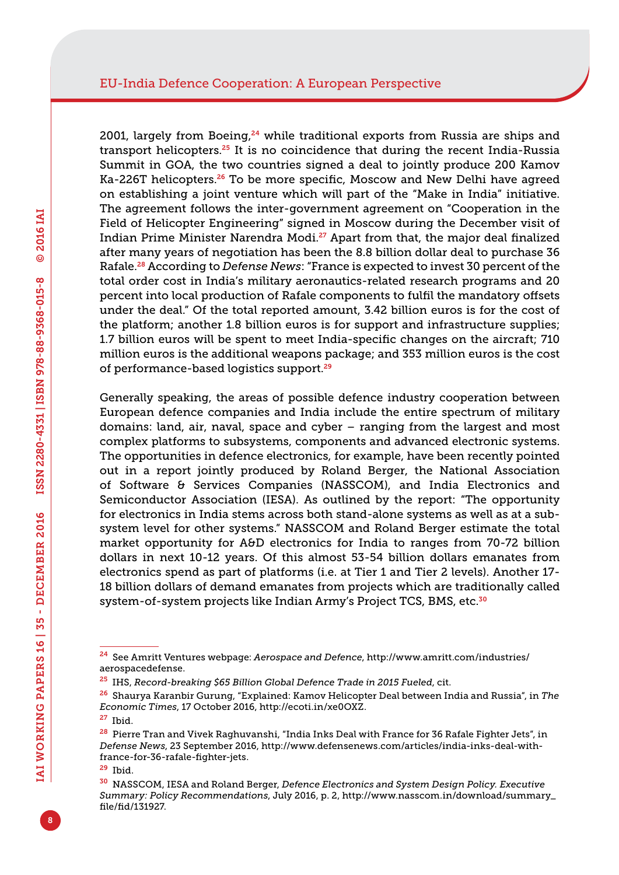2001, largely from Boeing, $24$  while traditional exports from Russia are ships and transport helicopters.<sup>25</sup> It is no coincidence that during the recent India-Russia Summit in GOA, the two countries signed a deal to jointly produce 200 Kamov Ka-226T helicopters.<sup>26</sup> To be more specific, Moscow and New Delhi have agreed on establishing a joint venture which will part of the "Make in India" initiative. The agreement follows the inter-government agreement on "Cooperation in the Field of Helicopter Engineering" signed in Moscow during the December visit of Indian Prime Minister Narendra Modi.27 Apart from that, the major deal finalized after many years of negotiation has been the 8.8 billion dollar deal to purchase 36 Rafale.28 According to *Defense News*: "France is expected to invest 30 percent of the total order cost in India's military aeronautics-related research programs and 20 percent into local production of Rafale components to fulfil the mandatory offsets under the deal." Of the total reported amount, 3.42 billion euros is for the cost of the platform; another 1.8 billion euros is for support and infrastructure supplies; 1.7 billion euros will be spent to meet India-specific changes on the aircraft; 710 million euros is the additional weapons package; and 353 million euros is the cost of performance-based logistics support.<sup>29</sup>

Generally speaking, the areas of possible defence industry cooperation between European defence companies and India include the entire spectrum of military domains: land, air, naval, space and cyber – ranging from the largest and most complex platforms to subsystems, components and advanced electronic systems. The opportunities in defence electronics, for example, have been recently pointed out in a report jointly produced by Roland Berger, the National Association of Software & Services Companies (NASSCOM), and India Electronics and Semiconductor Association (IESA). As outlined by the report: "The opportunity for electronics in India stems across both stand-alone systems as well as at a subsystem level for other systems." NASSCOM and Roland Berger estimate the total market opportunity for A&D electronics for India to ranges from 70-72 billion dollars in next 10-12 years. Of this almost 53-54 billion dollars emanates from electronics spend as part of platforms (i.e. at Tier 1 and Tier 2 levels). Another 17- 18 billion dollars of demand emanates from projects which are traditionally called system-of-system projects like Indian Army's Project TCS, BMS, etc.<sup>30</sup>

<sup>29</sup> Ibid.

<sup>24</sup> See Amritt Ventures webpage: *Aerospace and Defence*, [http://www.amritt.com/industries/](http://www.amritt.com/industries/aerospacedefense) [aerospacedefense.](http://www.amritt.com/industries/aerospacedefense)

<sup>25</sup> IHS, *Record-breaking \$65 Billion Global Defence Trade in 2015 Fueled*, cit.

<sup>26</sup> Shaurya Karanbir Gurung, "Explained: Kamov Helicopter Deal between India and Russia", in *The Economic Times*, 17 October 2016, <http://ecoti.in/xe0OXZ>.

<sup>27</sup> Ibid.

<sup>&</sup>lt;sup>28</sup> Pierre Tran and Vivek Raghuvanshi, "India Inks Deal with France for 36 Rafale Fighter Jets", in *Defense News*, 23 September 2016, [http://www.defensenews.com/articles/india-inks-deal-with](http://www.defensenews.com/articles/india-inks-deal-with-france-for-36-rafale-fighter-jets)[france-for-36-rafale-fighter-jets](http://www.defensenews.com/articles/india-inks-deal-with-france-for-36-rafale-fighter-jets).

<sup>30</sup> NASSCOM, IESA and Roland Berger, *Defence Electronics and System Design Policy. Executive Summary: Policy Recommendations*, July 2016, p. 2, [http://www.nasscom.in/download/summary\\_](http://www.nasscom.in/download/summary_file/fid/131927) [file/fid/131927.](http://www.nasscom.in/download/summary_file/fid/131927)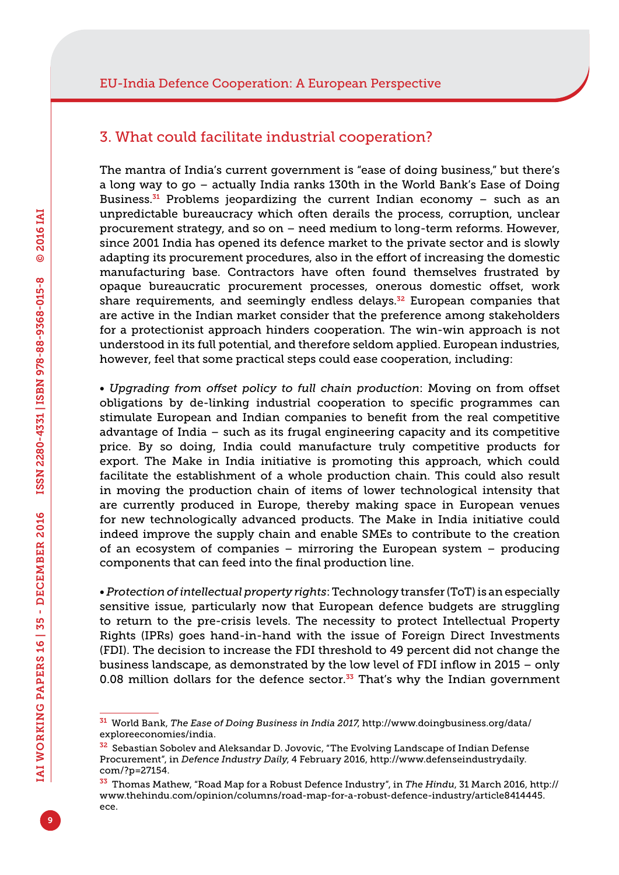### 3. What could facilitate industrial cooperation?

The mantra of India's current government is "ease of doing business," but there's a long way to go – actually India ranks 130th in the World Bank's Ease of Doing Business.<sup>31</sup> Problems jeopardizing the current Indian economy  $-$  such as an unpredictable bureaucracy which often derails the process, corruption, unclear procurement strategy, and so on – need medium to long-term reforms. However, since 2001 India has opened its defence market to the private sector and is slowly adapting its procurement procedures, also in the effort of increasing the domestic manufacturing base. Contractors have often found themselves frustrated by opaque bureaucratic procurement processes, onerous domestic offset, work share requirements, and seemingly endless delays.<sup>32</sup> European companies that are active in the Indian market consider that the preference among stakeholders for a protectionist approach hinders cooperation. The win-win approach is not understood in its full potential, and therefore seldom applied. European industries, however, feel that some practical steps could ease cooperation, including:

*• Upgrading from offset policy to full chain production*: Moving on from offset obligations by de-linking industrial cooperation to specific programmes can stimulate European and Indian companies to benefit from the real competitive advantage of India – such as its frugal engineering capacity and its competitive price. By so doing, India could manufacture truly competitive products for export. The Make in India initiative is promoting this approach, which could facilitate the establishment of a whole production chain. This could also result in moving the production chain of items of lower technological intensity that are currently produced in Europe, thereby making space in European venues for new technologically advanced products. The Make in India initiative could indeed improve the supply chain and enable SMEs to contribute to the creation of an ecosystem of companies – mirroring the European system – producing components that can feed into the final production line.

*• Protection of intellectual property rights*: Technology transfer (ToT) is an especially sensitive issue, particularly now that European defence budgets are struggling to return to the pre-crisis levels. The necessity to protect Intellectual Property Rights (IPRs) goes hand-in-hand with the issue of Foreign Direct Investments (FDI). The decision to increase the FDI threshold to 49 percent did not change the business landscape, as demonstrated by the low level of FDI inflow in 2015 – only 0.08 million dollars for the defence sector. $33$  That's why the Indian government

<sup>31</sup> World Bank, *The Ease of Doing Business in India 2017*, [http://www.doingbusiness.org/data/](http://www.doingbusiness.org/data/exploreeconomies/india) [exploreeconomies/india](http://www.doingbusiness.org/data/exploreeconomies/india).

<sup>&</sup>lt;sup>32</sup> Sebastian Sobolev and Aleksandar D. Jovovic, "The Evolving Landscape of Indian Defense Procurement", in *Defence Industry Daily*, 4 February 2016, [http://www.defenseindustrydaily.](http://www.defenseindustrydaily.com/?p=27154) [com/?p=27154.](http://www.defenseindustrydaily.com/?p=27154)

<sup>33</sup> Thomas Mathew, "Road Map for a Robust Defence Industry", in *The Hindu*, 31 March 2016, [http://](http://www.thehindu.com/opinion/columns/road-map-for-a-robust-defence-industry/article8414445.ece) [www.thehindu.com/opinion/columns/road-map-for-a-robust-defence-industry/article8414445.](http://www.thehindu.com/opinion/columns/road-map-for-a-robust-defence-industry/article8414445.ece) [ece](http://www.thehindu.com/opinion/columns/road-map-for-a-robust-defence-industry/article8414445.ece).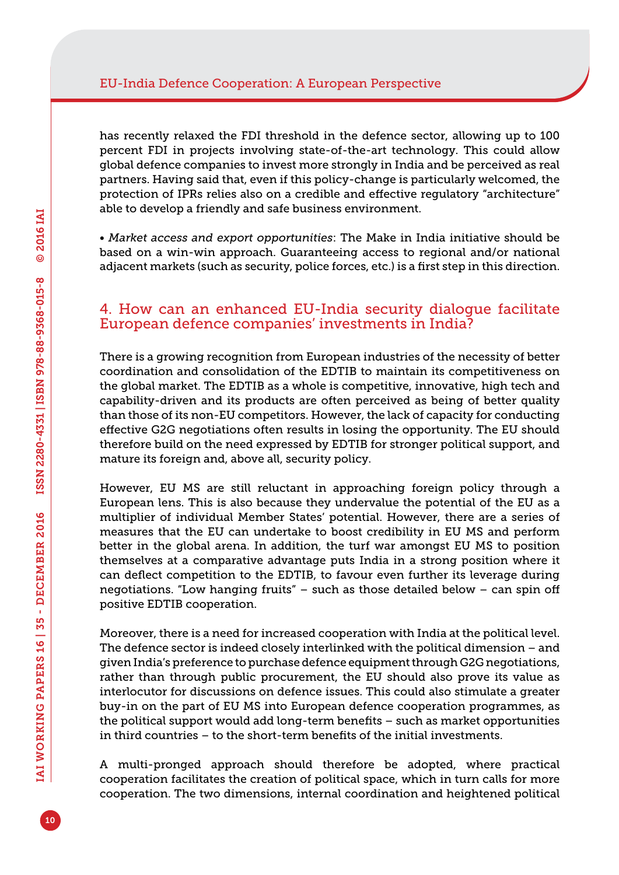has recently relaxed the FDI threshold in the defence sector, allowing up to 100 percent FDI in projects involving state-of-the-art technology. This could allow global defence companies to invest more strongly in India and be perceived as real partners. Having said that, even if this policy-change is particularly welcomed, the protection of IPRs relies also on a credible and effective regulatory "architecture" able to develop a friendly and safe business environment.

*• Market access and export opportunities*: The Make in India initiative should be based on a win-win approach. Guaranteeing access to regional and/or national adjacent markets (such as security, police forces, etc.) is a first step in this direction.

### 4. How can an enhanced EU-India security dialogue facilitate European defence companies' investments in India?

There is a growing recognition from European industries of the necessity of better coordination and consolidation of the EDTIB to maintain its competitiveness on the global market. The EDTIB as a whole is competitive, innovative, high tech and capability-driven and its products are often perceived as being of better quality than those of its non-EU competitors. However, the lack of capacity for conducting effective G2G negotiations often results in losing the opportunity. The EU should therefore build on the need expressed by EDTIB for stronger political support, and mature its foreign and, above all, security policy.

However, EU MS are still reluctant in approaching foreign policy through a European lens. This is also because they undervalue the potential of the EU as a multiplier of individual Member States' potential. However, there are a series of measures that the EU can undertake to boost credibility in EU MS and perform better in the global arena. In addition, the turf war amongst EU MS to position themselves at a comparative advantage puts India in a strong position where it can deflect competition to the EDTIB, to favour even further its leverage during negotiations. "Low hanging fruits" – such as those detailed below – can spin off positive EDTIB cooperation.

Moreover, there is a need for increased cooperation with India at the political level. The defence sector is indeed closely interlinked with the political dimension – and given India's preference to purchase defence equipment through G2G negotiations, rather than through public procurement, the EU should also prove its value as interlocutor for discussions on defence issues. This could also stimulate a greater buy-in on the part of EU MS into European defence cooperation programmes, as the political support would add long-term benefits – such as market opportunities in third countries – to the short-term benefits of the initial investments.

A multi-pronged approach should therefore be adopted, where practical cooperation facilitates the creation of political space, which in turn calls for more cooperation. The two dimensions, internal coordination and heightened political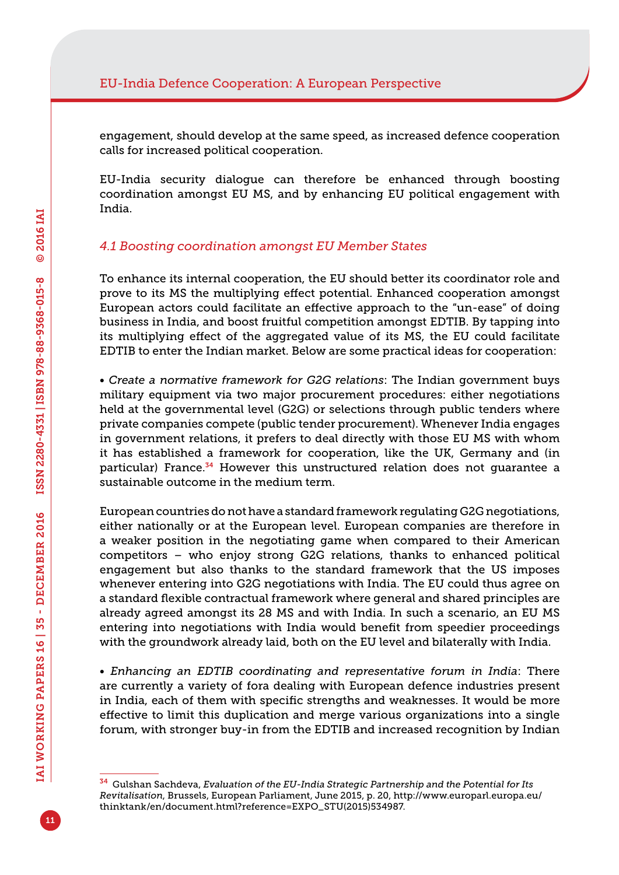engagement, should develop at the same speed, as increased defence cooperation calls for increased political cooperation.

EU-India security dialogue can therefore be enhanced through boosting coordination amongst EU MS, and by enhancing EU political engagement with India.

#### *4.1 Boosting coordination amongst EU Member States*

To enhance its internal cooperation, the EU should better its coordinator role and prove to its MS the multiplying effect potential. Enhanced cooperation amongst European actors could facilitate an effective approach to the "un-ease" of doing business in India, and boost fruitful competition amongst EDTIB. By tapping into its multiplying effect of the aggregated value of its MS, the EU could facilitate EDTIB to enter the Indian market. Below are some practical ideas for cooperation:

*• Create a normative framework for G2G relations*: The Indian government buys military equipment via two major procurement procedures: either negotiations held at the governmental level (G2G) or selections through public tenders where private companies compete (public tender procurement). Whenever India engages in government relations, it prefers to deal directly with those EU MS with whom it has established a framework for cooperation, like the UK, Germany and (in particular) France.<sup>34</sup> However this unstructured relation does not quarantee a sustainable outcome in the medium term.

European countries do not have a standard framework regulating G2G negotiations, either nationally or at the European level. European companies are therefore in a weaker position in the negotiating game when compared to their American competitors – who enjoy strong G2G relations, thanks to enhanced political engagement but also thanks to the standard framework that the US imposes whenever entering into G2G negotiations with India. The EU could thus agree on a standard flexible contractual framework where general and shared principles are already agreed amongst its 28 MS and with India. In such a scenario, an EU MS entering into negotiations with India would benefit from speedier proceedings with the groundwork already laid, both on the EU level and bilaterally with India.

*• Enhancing an EDTIB coordinating and representative forum in India*: There are currently a variety of fora dealing with European defence industries present in India, each of them with specific strengths and weaknesses. It would be more effective to limit this duplication and merge various organizations into a single forum, with stronger buy-in from the EDTIB and increased recognition by Indian

<sup>34</sup> Gulshan Sachdeva, *Evaluation of the EU-India Strategic Partnership and the Potential for Its Revitalisation*, Brussels, European Parliament, June 2015, p. 20, [http://www.europarl.europa.eu/](http://www.europarl.europa.eu/thinktank/en/document.html?reference=EXPO_STU(2015)534987) [thinktank/en/document.html?reference=EXPO\\_STU\(2015\)534987.](http://www.europarl.europa.eu/thinktank/en/document.html?reference=EXPO_STU(2015)534987)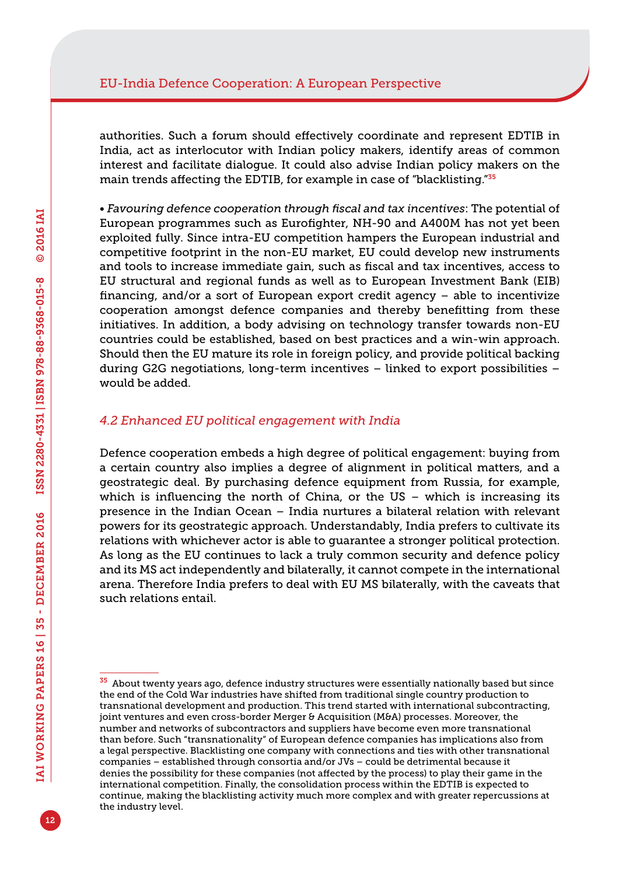authorities. Such a forum should effectively coordinate and represent EDTIB in India, act as interlocutor with Indian policy makers, identify areas of common interest and facilitate dialogue. It could also advise Indian policy makers on the main trends affecting the EDTIB, for example in case of "blacklisting."<sup>35</sup>

*• Favouring defence cooperation through fiscal and tax incentives*: The potential of European programmes such as Eurofighter, NH-90 and A400M has not yet been exploited fully. Since intra-EU competition hampers the European industrial and competitive footprint in the non-EU market, EU could develop new instruments and tools to increase immediate gain, such as fiscal and tax incentives, access to EU structural and regional funds as well as to European Investment Bank (EIB) financing, and/or a sort of European export credit agency – able to incentivize cooperation amongst defence companies and thereby benefitting from these initiatives. In addition, a body advising on technology transfer towards non-EU countries could be established, based on best practices and a win-win approach. Should then the EU mature its role in foreign policy, and provide political backing during G2G negotiations, long-term incentives – linked to export possibilities – would be added.

#### *4.2 Enhanced EU political engagement with India*

Defence cooperation embeds a high degree of political engagement: buying from a certain country also implies a degree of alignment in political matters, and a geostrategic deal. By purchasing defence equipment from Russia, for example, which is influencing the north of China, or the US – which is increasing its presence in the Indian Ocean – India nurtures a bilateral relation with relevant powers for its geostrategic approach. Understandably, India prefers to cultivate its relations with whichever actor is able to guarantee a stronger political protection. As long as the EU continues to lack a truly common security and defence policy and its MS act independently and bilaterally, it cannot compete in the international arena. Therefore India prefers to deal with EU MS bilaterally, with the caveats that such relations entail.

 $35$  About twenty years ago, defence industry structures were essentially nationally based but since the end of the Cold War industries have shifted from traditional single country production to transnational development and production. This trend started with international subcontracting, joint ventures and even cross-border Merger & Acquisition (M&A) processes. Moreover, the number and networks of subcontractors and suppliers have become even more transnational than before. Such "transnationality" of European defence companies has implications also from a legal perspective. Blacklisting one company with connections and ties with other transnational companies – established through consortia and/or JVs – could be detrimental because it denies the possibility for these companies (not affected by the process) to play their game in the international competition. Finally, the consolidation process within the EDTIB is expected to continue, making the blacklisting activity much more complex and with greater repercussions at the industry level.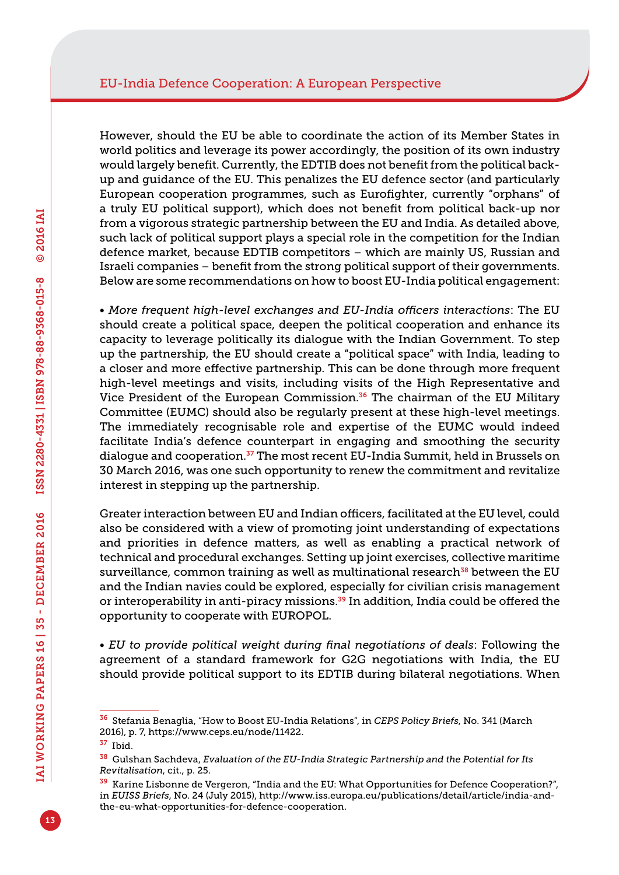However, should the EU be able to coordinate the action of its Member States in world politics and leverage its power accordingly, the position of its own industry would largely benefit. Currently, the EDTIB does not benefit from the political backup and guidance of the EU. This penalizes the EU defence sector (and particularly European cooperation programmes, such as Eurofighter, currently "orphans" of a truly EU political support), which does not benefit from political back-up nor from a vigorous strategic partnership between the EU and India. As detailed above, such lack of political support plays a special role in the competition for the Indian defence market, because EDTIB competitors – which are mainly US, Russian and Israeli companies – benefit from the strong political support of their governments. Below are some recommendations on how to boost EU-India political engagement:

*• More frequent high-level exchanges and EU-India officers interactions*: The EU should create a political space, deepen the political cooperation and enhance its capacity to leverage politically its dialogue with the Indian Government. To step up the partnership, the EU should create a "political space" with India, leading to a closer and more effective partnership. This can be done through more frequent high-level meetings and visits, including visits of the High Representative and Vice President of the European Commission.<sup>36</sup> The chairman of the EU Military Committee (EUMC) should also be regularly present at these high-level meetings. The immediately recognisable role and expertise of the EUMC would indeed facilitate India's defence counterpart in engaging and smoothing the security dialogue and cooperation.<sup>37</sup> The most recent EU-India Summit, held in Brussels on 30 March 2016, was one such opportunity to renew the commitment and revitalize interest in stepping up the partnership.

Greater interaction between EU and Indian officers, facilitated at the EU level, could also be considered with a view of promoting joint understanding of expectations and priorities in defence matters, as well as enabling a practical network of technical and procedural exchanges. Setting up joint exercises, collective maritime surveillance, common training as well as multinational research<sup>38</sup> between the EU and the Indian navies could be explored, especially for civilian crisis management or interoperability in anti-piracy missions.<sup>39</sup> In addition, India could be offered the opportunity to cooperate with EUROPOL.

*• EU to provide political weight during final negotiations of deals*: Following the agreement of a standard framework for G2G negotiations with India, the EU should provide political support to its EDTIB during bilateral negotiations. When

<sup>37</sup> Ibid.

<sup>36</sup> Stefania Benaglia, "How to Boost EU-India Relations", in *CEPS Policy Briefs*, No. 341 (March 2016), p. 7, [https://www.ceps.eu/node/11422.](https://www.ceps.eu/node/11422)

<sup>38</sup> Gulshan Sachdeva, *Evaluation of the EU-India Strategic Partnership and the Potential for Its Revitalisation*, cit., p. 25.

<sup>39</sup> Karine Lisbonne de Vergeron, "India and the EU: What Opportunities for Defence Cooperation?", in *EUISS Briefs*, No. 24 (July 2015), [http://www.iss.europa.eu/publications/detail/article/india-and](http://www.iss.europa.eu/publications/detail/article/india-and-the-eu-what-opportunities-for-defence-cooperation)[the-eu-what-opportunities-for-defence-cooperation](http://www.iss.europa.eu/publications/detail/article/india-and-the-eu-what-opportunities-for-defence-cooperation).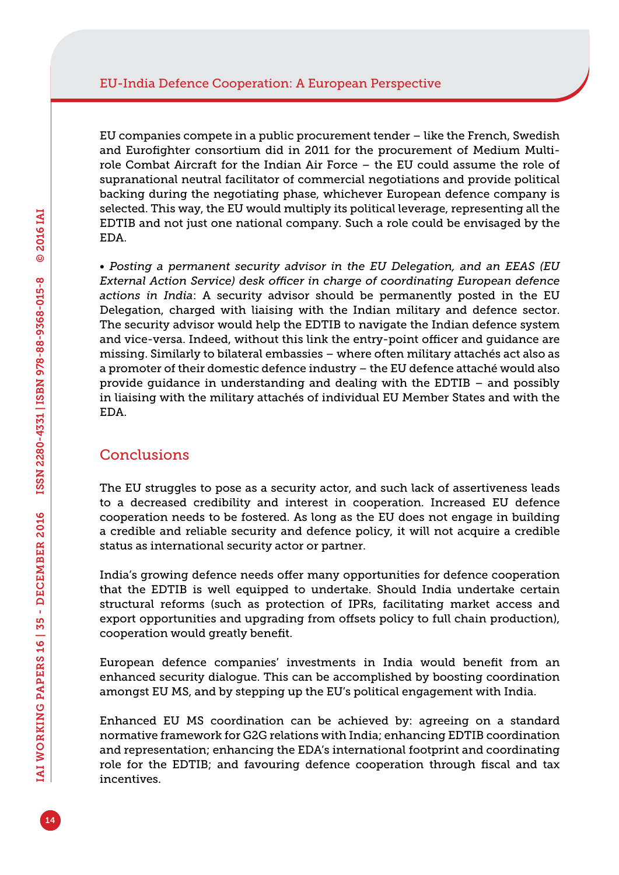EU companies compete in a public procurement tender – like the French, Swedish and Eurofighter consortium did in 2011 for the procurement of Medium Multirole Combat Aircraft for the Indian Air Force – the EU could assume the role of supranational neutral facilitator of commercial negotiations and provide political backing during the negotiating phase, whichever European defence company is selected. This way, the EU would multiply its political leverage, representing all the EDTIB and not just one national company. Such a role could be envisaged by the EDA.

*• Posting a permanent security advisor in the EU Delegation, and an EEAS (EU External Action Service) desk officer in charge of coordinating European defence actions in India*: A security advisor should be permanently posted in the EU Delegation, charged with liaising with the Indian military and defence sector. The security advisor would help the EDTIB to navigate the Indian defence system and vice-versa. Indeed, without this link the entry-point officer and guidance are missing. Similarly to bilateral embassies – where often military attachés act also as a promoter of their domestic defence industry – the EU defence attaché would also provide guidance in understanding and dealing with the EDTIB – and possibly in liaising with the military attachés of individual EU Member States and with the EDA.

## Conclusions

The EU struggles to pose as a security actor, and such lack of assertiveness leads to a decreased credibility and interest in cooperation. Increased EU defence cooperation needs to be fostered. As long as the EU does not engage in building a credible and reliable security and defence policy, it will not acquire a credible status as international security actor or partner.

India's growing defence needs offer many opportunities for defence cooperation that the EDTIB is well equipped to undertake. Should India undertake certain structural reforms (such as protection of IPRs, facilitating market access and export opportunities and upgrading from offsets policy to full chain production), cooperation would greatly benefit.

European defence companies' investments in India would benefit from an enhanced security dialogue. This can be accomplished by boosting coordination amongst EU MS, and by stepping up the EU's political engagement with India.

Enhanced EU MS coordination can be achieved by: agreeing on a standard normative framework for G2G relations with India; enhancing EDTIB coordination and representation; enhancing the EDA's international footprint and coordinating role for the EDTIB; and favouring defence cooperation through fiscal and tax incentives.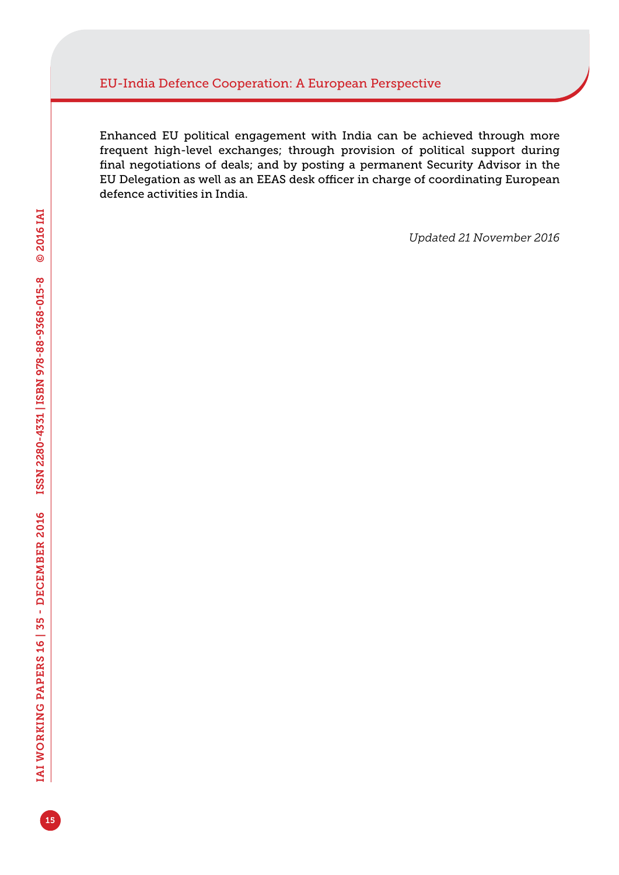Enhanced EU political engagement with India can be achieved through more frequent high-level exchanges; through provision of political support during final negotiations of deals; and by posting a permanent Security Advisor in the EU Delegation as well as an EEAS desk officer in charge of coordinating European defence activities in India.

*Updated 21 November 2016*

15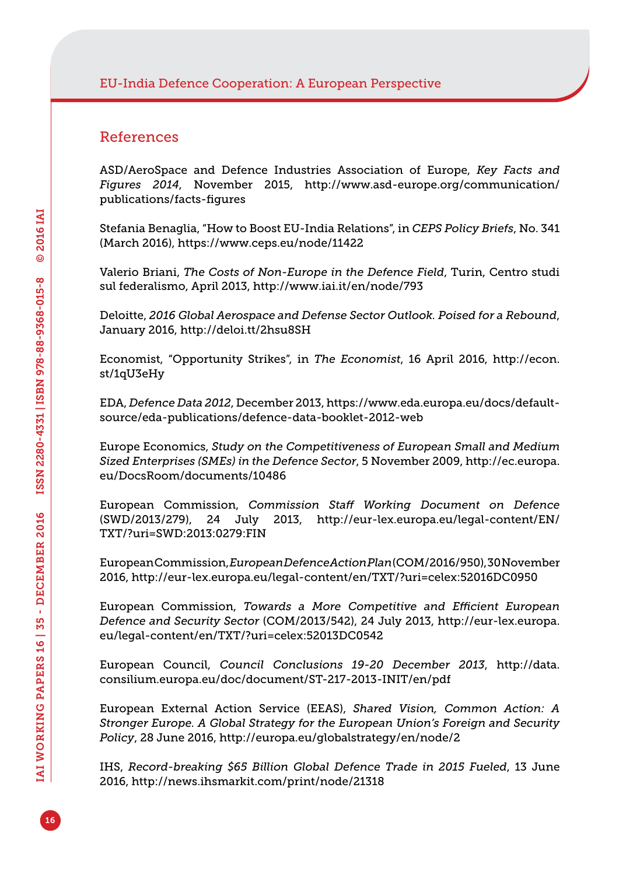#### References

ASD/AeroSpace and Defence Industries Association of Europe, *Key Facts and Figures 2014*, November 2015, [http://www.asd-europe.org/communication/](http://www.asd-europe.org/communication/publications/facts-figures) [publications/facts-figures](http://www.asd-europe.org/communication/publications/facts-figures)

Stefania Benaglia, "How to Boost EU-India Relations", in *CEPS Policy Briefs*, No. 341 (March 2016),<https://www.ceps.eu/node/11422>

Valerio Briani, *The Costs of Non-Europe in the Defence Field*, Turin, Centro studi sul federalismo, April 2013, <http://www.iai.it/en/node/793>

Deloitte, *2016 Global Aerospace and Defense Sector Outlook. Poised for a Rebound*, January 2016,<http://deloi.tt/2hsu8SH>

Economist, "Opportunity Strikes", in *The Economist*, 16 April 2016, [http://econ.](http://econ.st/1qU3eHy) [st/1qU3eHy](http://econ.st/1qU3eHy)

EDA, *Defence Data 2012*, December 2013, [https://www.eda.europa.eu/docs/default](https://www.eda.europa.eu/docs/default-source/eda-publications/defence-data-booklet-2012-web)[source/eda-publications/defence-data-booklet-2012-web](https://www.eda.europa.eu/docs/default-source/eda-publications/defence-data-booklet-2012-web)

Europe Economics, *Study on the Competitiveness of European Small and Medium Sized Enterprises (SMEs) in the Defence Sector*, 5 November 2009, [http://ec.europa.](http://ec.europa.eu/DocsRoom/documents/10486) [eu/DocsRoom/documents/10486](http://ec.europa.eu/DocsRoom/documents/10486)

European Commission, *Commission Staff Working Document on Defence* (SWD/2013/279), 24 July 2013, [http://eur-lex.europa.eu/legal-content/EN/](http://eur-lex.europa.eu/legal-content/EN/TXT/?uri=SWD:2013:0279:FIN) [TXT/?uri=SWD:2013:0279:FIN](http://eur-lex.europa.eu/legal-content/EN/TXT/?uri=SWD:2013:0279:FIN)

European Commission, *European Defence Action Plan* (COM/2016/950), 30 November 2016, <http://eur-lex.europa.eu/legal-content/en/TXT/?uri=celex:52016DC0950>

European Commission, *Towards a More Competitive and Efficient European Defence and Security Sector* (COM/2013/542), 24 July 2013, [http://eur-lex.europa.](http://eur-lex.europa.eu/legal-content/en/TXT/?uri=celex:52013DC0542) [eu/legal-content/en/TXT/?uri=celex:52013DC0542](http://eur-lex.europa.eu/legal-content/en/TXT/?uri=celex:52013DC0542)

European Council, *Council Conclusions 19-20 December 2013*, [http://data.](http://data.consilium.europa.eu/doc/document/ST-217-2013-INIT/en/pdf) [consilium.europa.eu/doc/document/ST-217-2013-INIT/en/pdf](http://data.consilium.europa.eu/doc/document/ST-217-2013-INIT/en/pdf)

European External Action Service (EEAS), *Shared Vision, Common Action: A Stronger Europe. A Global Strategy for the European Union's Foreign and Security Policy*, 28 June 2016,<http://europa.eu/globalstrategy/en/node/2>

IHS, *Record-breaking \$65 Billion Global Defence Trade in 2015 Fueled*, 13 June 2016, <http://news.ihsmarkit.com/print/node/21318>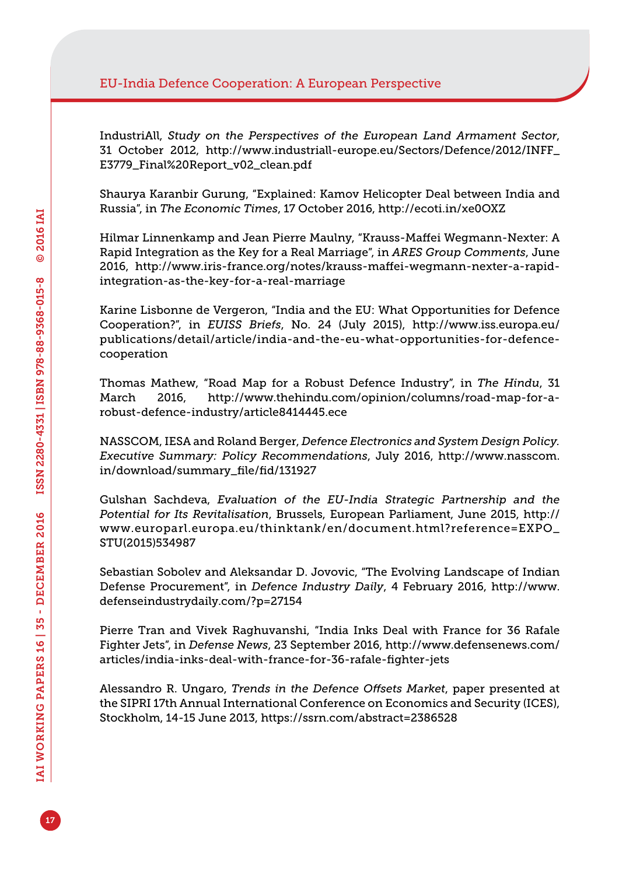IndustriAll, *Study on the Perspectives of the European Land Armament Sector*, 31 October 2012, [http://www.industriall-europe.eu/Sectors/Defence/2012/INFF\\_](http://www.industriall-europe.eu/Sectors/Defence/2012/INFF_E3779_Final%20Report_v02_clean.pdf) [E3779\\_Final%20Report\\_v02\\_clean.pdf](http://www.industriall-europe.eu/Sectors/Defence/2012/INFF_E3779_Final%20Report_v02_clean.pdf)

Shaurya Karanbir Gurung, "Explained: Kamov Helicopter Deal between India and Russia", in *The Economic Times*, 17 October 2016, <http://ecoti.in/xe0OXZ>

Hilmar Linnenkamp and Jean Pierre Maulny, "Krauss-Maffei Wegmann-Nexter: A Rapid Integration as the Key for a Real Marriage", in *ARES Group Comments*, June 2016, [http://www.iris-france.org/notes/krauss-maffei-wegmann-nexter-a-rapid](http://www.iris-france.org/notes/krauss-maffei-wegmann-nexter-a-rapid-integration-as-the-key-for-a-real-marriage)[integration-as-the-key-for-a-real-marriage](http://www.iris-france.org/notes/krauss-maffei-wegmann-nexter-a-rapid-integration-as-the-key-for-a-real-marriage)

Karine Lisbonne de Vergeron, "India and the EU: What Opportunities for Defence Cooperation?", in *EUISS Briefs*, No. 24 (July 2015), [http://www.iss.europa.eu/](http://www.iss.europa.eu/publications/detail/article/india-and-the-eu-what-opportunities-for-defence-cooperation) [publications/detail/article/india-and-the-eu-what-opportunities-for-defence](http://www.iss.europa.eu/publications/detail/article/india-and-the-eu-what-opportunities-for-defence-cooperation)[cooperation](http://www.iss.europa.eu/publications/detail/article/india-and-the-eu-what-opportunities-for-defence-cooperation)

Thomas Mathew, "Road Map for a Robust Defence Industry", in *The Hindu*, 31 March 2016, [http://www.thehindu.com/opinion/columns/road-map-for-a](http://www.thehindu.com/opinion/columns/road-map-for-a-robust-defence-industry/article8414445.ece)[robust-defence-industry/article8414445.ece](http://www.thehindu.com/opinion/columns/road-map-for-a-robust-defence-industry/article8414445.ece)

NASSCOM, IESA and Roland Berger, *Defence Electronics and System Design Policy. Executive Summary: Policy Recommendations*, July 2016, [http://www.nasscom.](http://www.nasscom.in/download/summary_file/fid/131927) [in/download/summary\\_file/fid/131927](http://www.nasscom.in/download/summary_file/fid/131927)

Gulshan Sachdeva, *Evaluation of the EU-India Strategic Partnership and the Potential for Its Revitalisation*, Brussels, European Parliament, June 2015, [http://](http://www.europarl.europa.eu/thinktank/en/document.html?reference=EXPO_STU(2015)534987) [www.europarl.europa.eu/thinktank/en/document.html?reference=EXPO\\_](http://www.europarl.europa.eu/thinktank/en/document.html?reference=EXPO_STU(2015)534987) [STU\(2015\)534987](http://www.europarl.europa.eu/thinktank/en/document.html?reference=EXPO_STU(2015)534987)

Sebastian Sobolev and Aleksandar D. Jovovic, "The Evolving Landscape of Indian Defense Procurement", in *Defence Industry Daily*, 4 February 2016, [http://www.](http://www.defenseindustrydaily.com/?p=27154) [defenseindustrydaily.com/?p=27154](http://www.defenseindustrydaily.com/?p=27154)

Pierre Tran and Vivek Raghuvanshi, "India Inks Deal with France for 36 Rafale Fighter Jets", in *Defense News*, 23 September 2016, [http://www.defensenews.com/](http://www.defensenews.com/articles/india-inks-deal-with-france-for-36-rafale-fighter-jets) [articles/india-inks-deal-with-france-for-36-rafale-fighter-jets](http://www.defensenews.com/articles/india-inks-deal-with-france-for-36-rafale-fighter-jets)

Alessandro R. Ungaro, *Trends in the Defence Offsets Market*, paper presented at the SIPRI 17th Annual International Conference on Economics and Security (ICES), Stockholm, 14-15 June 2013,<https://ssrn.com/abstract=2386528>